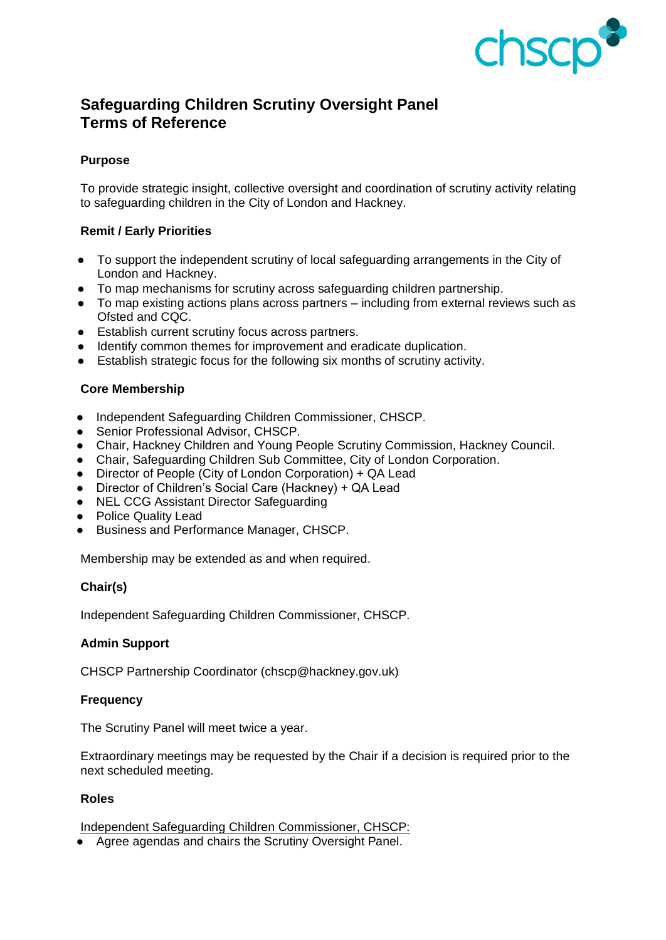

# **Safeguarding Children Scrutiny Oversight Panel Terms of Reference**

# **Purpose**

To provide strategic insight, collective oversight and coordination of scrutiny activity relating to safeguarding children in the City of London and Hackney.

### **Remit / Early Priorities**

- To support the independent scrutiny of local safeguarding arrangements in the City of London and Hackney.
- To map mechanisms for scrutiny across safeguarding children partnership.
- To map existing actions plans across partners including from external reviews such as Ofsted and CQC.
- Establish current scrutiny focus across partners.
- Identify common themes for improvement and eradicate duplication.
- Establish strategic focus for the following six months of scrutiny activity.

## **Core Membership**

- Independent Safeguarding Children Commissioner, CHSCP.
- Senior Professional Advisor, CHSCP.
- Chair, Hackney Children and Young People Scrutiny Commission, Hackney Council.
- Chair, Safeguarding Children Sub Committee, City of London Corporation.
- Director of People (City of London Corporation) + QA Lead
- Director of Children's Social Care (Hackney) + QA Lead
- NEL CCG Assistant Director Safeguarding
- Police Quality Lead
- Business and Performance Manager, CHSCP.

Membership may be extended as and when required.

# **Chair(s)**

Independent Safeguarding Children Commissioner, CHSCP.

### **Admin Support**

CHSCP Partnership Coordinator (chscp@hackney.gov.uk)

### **Frequency**

The Scrutiny Panel will meet twice a year.

Extraordinary meetings may be requested by the Chair if a decision is required prior to the next scheduled meeting.

### **Roles**

Independent Safeguarding Children Commissioner, CHSCP:

● Agree agendas and chairs the Scrutiny Oversight Panel.